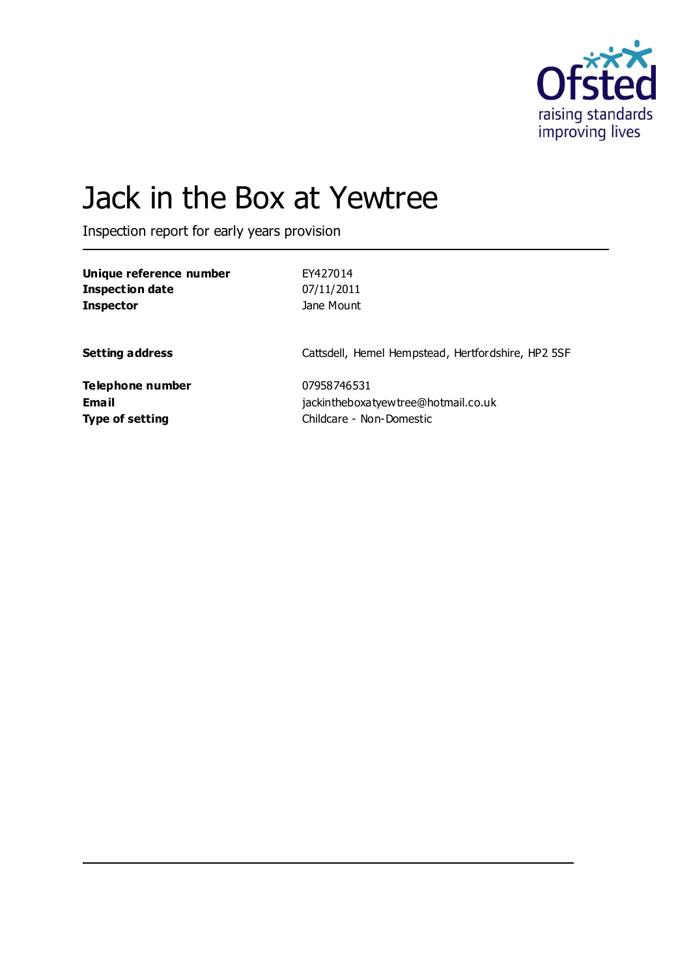

# Jack in the Box at Yewtree

Inspection report for early years provision

| Unique reference number | EY427014                                           |
|-------------------------|----------------------------------------------------|
| <b>Inspection date</b>  | 07/11/2011                                         |
| <b>Inspector</b>        | Jane Mount                                         |
| <b>Setting address</b>  | Cattsdell, Hemel Hempstead, Hertfordshire, HP2 5SF |
| Telephone number        | 07958746531                                        |
| Email                   | jackintheboxatyewtree@hotmail.co.uk                |
| <b>Type of setting</b>  | Childcare - Non-Domestic                           |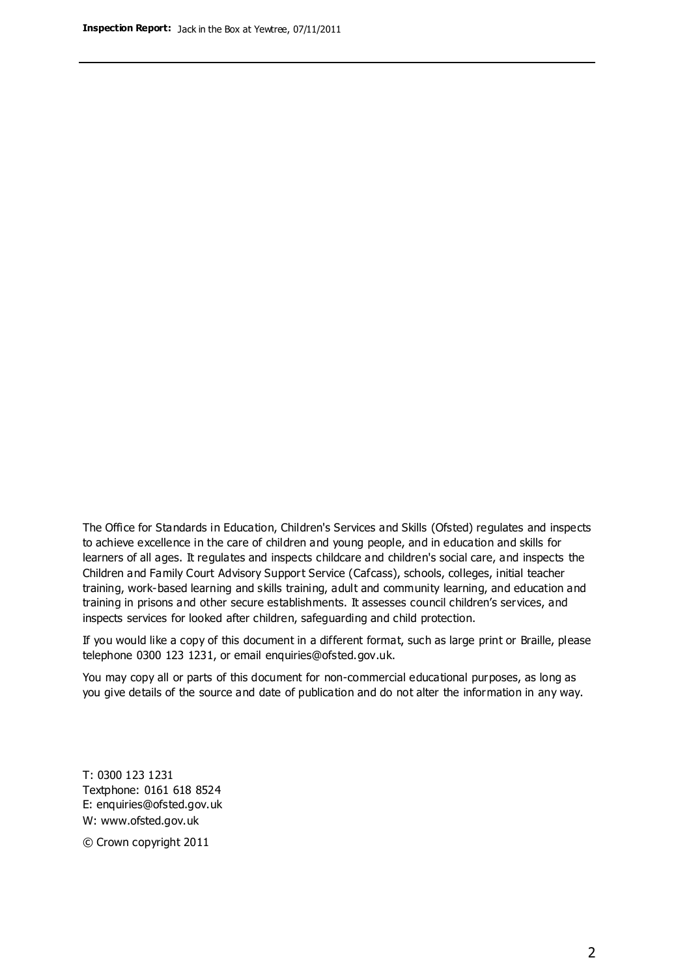The Office for Standards in Education, Children's Services and Skills (Ofsted) regulates and inspects to achieve excellence in the care of children and young people, and in education and skills for learners of all ages. It regulates and inspects childcare and children's social care, and inspects the Children and Family Court Advisory Support Service (Cafcass), schools, colleges, initial teacher training, work-based learning and skills training, adult and community learning, and education and training in prisons and other secure establishments. It assesses council children's services, and inspects services for looked after children, safeguarding and child protection.

If you would like a copy of this document in a different format, such as large print or Braille, please telephone 0300 123 1231, or email enquiries@ofsted.gov.uk.

You may copy all or parts of this document for non-commercial educational purposes, as long as you give details of the source and date of publication and do not alter the information in any way.

T: 0300 123 1231 Textphone: 0161 618 8524 E: enquiries@ofsted.gov.uk W: [www.ofsted.gov.uk](http://www.ofsted.gov.uk/)

© Crown copyright 2011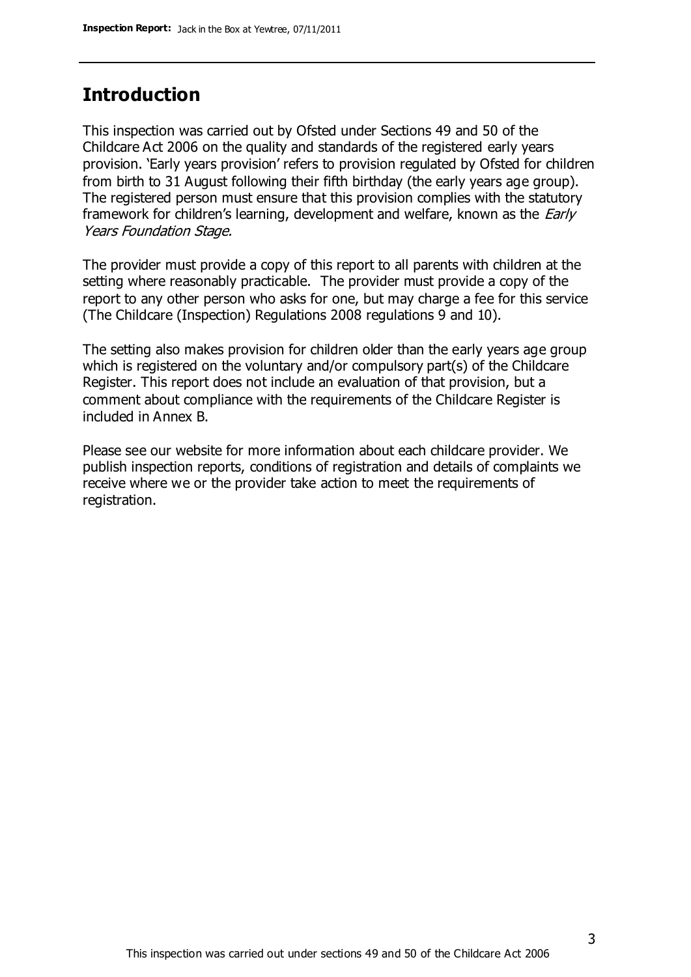### **Introduction**

This inspection was carried out by Ofsted under Sections 49 and 50 of the Childcare Act 2006 on the quality and standards of the registered early years provision. 'Early years provision' refers to provision regulated by Ofsted for children from birth to 31 August following their fifth birthday (the early years age group). The registered person must ensure that this provision complies with the statutory framework for children's learning, development and welfare, known as the *Early* Years Foundation Stage.

The provider must provide a copy of this report to all parents with children at the setting where reasonably practicable. The provider must provide a copy of the report to any other person who asks for one, but may charge a fee for this service (The Childcare (Inspection) Regulations 2008 regulations 9 and 10).

The setting also makes provision for children older than the early years age group which is registered on the voluntary and/or compulsory part(s) of the Childcare Register. This report does not include an evaluation of that provision, but a comment about compliance with the requirements of the Childcare Register is included in Annex B.

Please see our website for more information about each childcare provider. We publish inspection reports, conditions of registration and details of complaints we receive where we or the provider take action to meet the requirements of registration.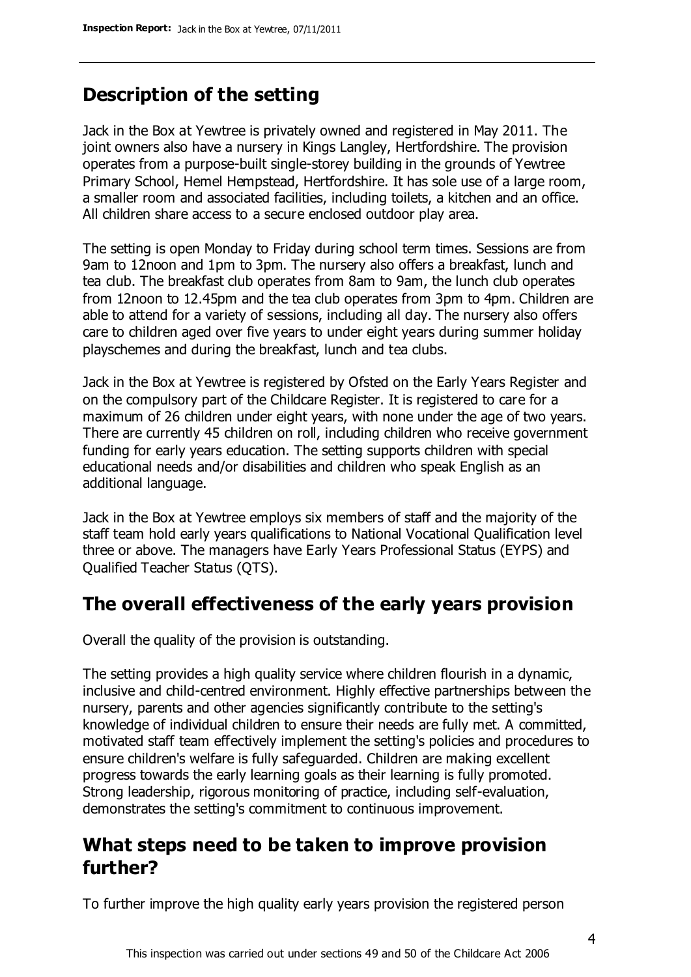# **Description of the setting**

Jack in the Box at Yewtree is privately owned and registered in May 2011. The joint owners also have a nursery in Kings Langley, Hertfordshire. The provision operates from a purpose-built single-storey building in the grounds of Yewtree Primary School, Hemel Hempstead, Hertfordshire. It has sole use of a large room, a smaller room and associated facilities, including toilets, a kitchen and an office. All children share access to a secure enclosed outdoor play area.

The setting is open Monday to Friday during school term times. Sessions are from 9am to 12noon and 1pm to 3pm. The nursery also offers a breakfast, lunch and tea club. The breakfast club operates from 8am to 9am, the lunch club operates from 12noon to 12.45pm and the tea club operates from 3pm to 4pm. Children are able to attend for a variety of sessions, including all day. The nursery also offers care to children aged over five years to under eight years during summer holiday playschemes and during the breakfast, lunch and tea clubs.

Jack in the Box at Yewtree is registered by Ofsted on the Early Years Register and on the compulsory part of the Childcare Register. It is registered to care for a maximum of 26 children under eight years, with none under the age of two years. There are currently 45 children on roll, including children who receive government funding for early years education. The setting supports children with special educational needs and/or disabilities and children who speak English as an additional language.

Jack in the Box at Yewtree employs six members of staff and the majority of the staff team hold early years qualifications to National Vocational Qualification level three or above. The managers have Early Years Professional Status (EYPS) and Qualified Teacher Status (QTS).

## **The overall effectiveness of the early years provision**

Overall the quality of the provision is outstanding.

The setting provides a high quality service where children flourish in a dynamic, inclusive and child-centred environment. Highly effective partnerships between the nursery, parents and other agencies significantly contribute to the setting's knowledge of individual children to ensure their needs are fully met. A committed, motivated staff team effectively implement the setting's policies and procedures to ensure children's welfare is fully safeguarded. Children are making excellent progress towards the early learning goals as their learning is fully promoted. Strong leadership, rigorous monitoring of practice, including self-evaluation, demonstrates the setting's commitment to continuous improvement.

## **What steps need to be taken to improve provision further?**

To further improve the high quality early years provision the registered person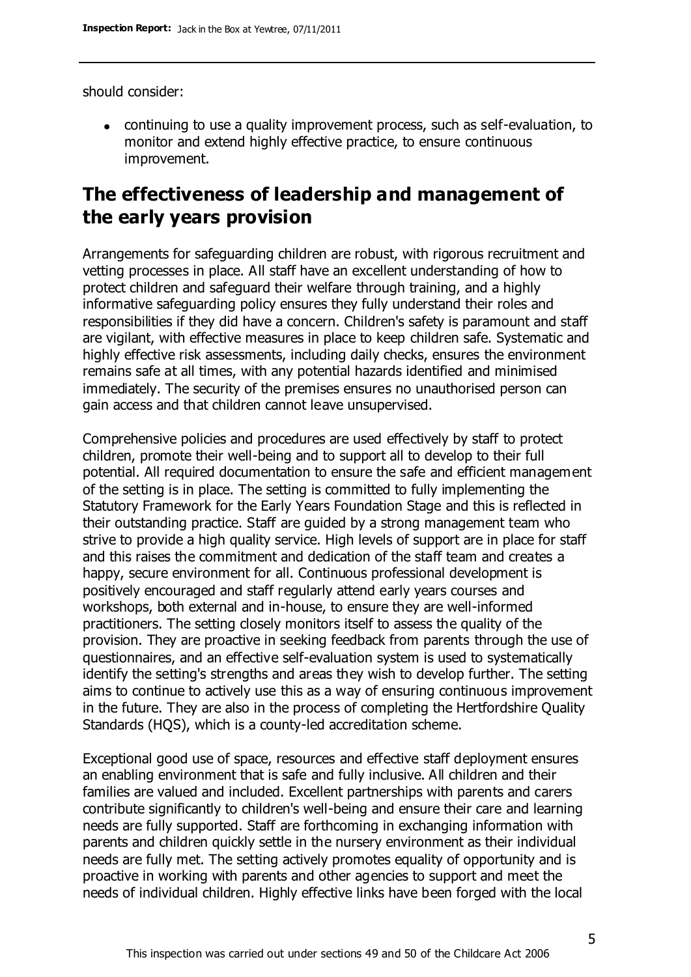should consider:

continuing to use a quality improvement process, such as self-evaluation, to monitor and extend highly effective practice, to ensure continuous improvement.

### **The effectiveness of leadership and management of the early years provision**

Arrangements for safeguarding children are robust, with rigorous recruitment and vetting processes in place. All staff have an excellent understanding of how to protect children and safeguard their welfare through training, and a highly informative safeguarding policy ensures they fully understand their roles and responsibilities if they did have a concern. Children's safety is paramount and staff are vigilant, with effective measures in place to keep children safe. Systematic and highly effective risk assessments, including daily checks, ensures the environment remains safe at all times, with any potential hazards identified and minimised immediately. The security of the premises ensures no unauthorised person can gain access and that children cannot leave unsupervised.

Comprehensive policies and procedures are used effectively by staff to protect children, promote their well-being and to support all to develop to their full potential. All required documentation to ensure the safe and efficient management of the setting is in place. The setting is committed to fully implementing the Statutory Framework for the Early Years Foundation Stage and this is reflected in their outstanding practice. Staff are guided by a strong management team who strive to provide a high quality service. High levels of support are in place for staff and this raises the commitment and dedication of the staff team and creates a happy, secure environment for all. Continuous professional development is positively encouraged and staff regularly attend early years courses and workshops, both external and in-house, to ensure they are well-informed practitioners. The setting closely monitors itself to assess the quality of the provision. They are proactive in seeking feedback from parents through the use of questionnaires, and an effective self-evaluation system is used to systematically identify the setting's strengths and areas they wish to develop further. The setting aims to continue to actively use this as a way of ensuring continuous improvement in the future. They are also in the process of completing the Hertfordshire Quality Standards (HQS), which is a county-led accreditation scheme.

Exceptional good use of space, resources and effective staff deployment ensures an enabling environment that is safe and fully inclusive. All children and their families are valued and included. Excellent partnerships with parents and carers contribute significantly to children's well-being and ensure their care and learning needs are fully supported. Staff are forthcoming in exchanging information with parents and children quickly settle in the nursery environment as their individual needs are fully met. The setting actively promotes equality of opportunity and is proactive in working with parents and other agencies to support and meet the needs of individual children. Highly effective links have been forged with the local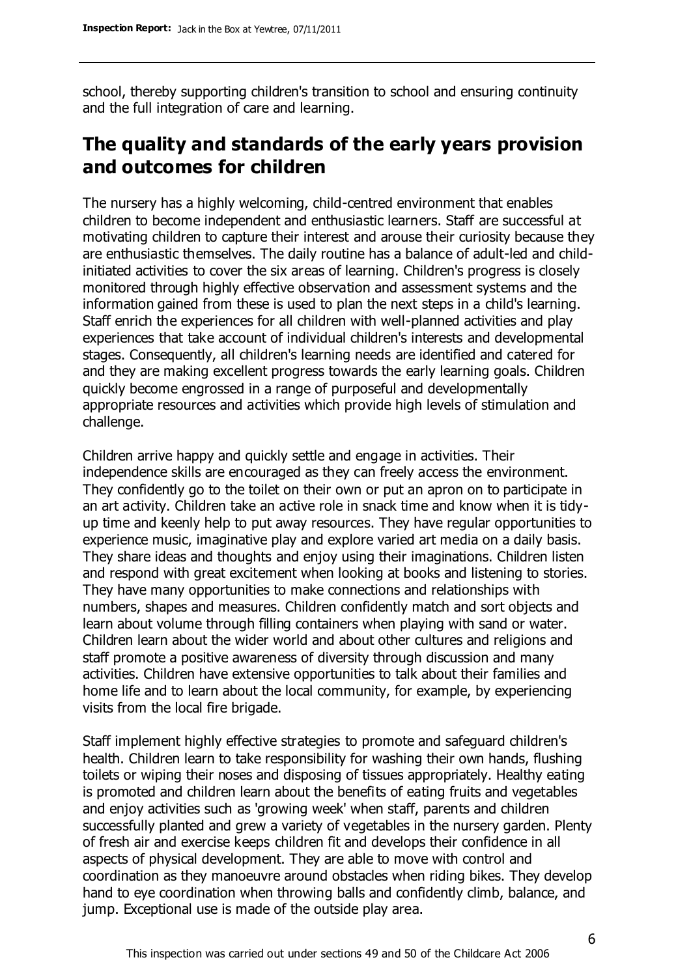school, thereby supporting children's transition to school and ensuring continuity and the full integration of care and learning.

# **The quality and standards of the early years provision and outcomes for children**

The nursery has a highly welcoming, child-centred environment that enables children to become independent and enthusiastic learners. Staff are successful at motivating children to capture their interest and arouse their curiosity because they are enthusiastic themselves. The daily routine has a balance of adult-led and childinitiated activities to cover the six areas of learning. Children's progress is closely monitored through highly effective observation and assessment systems and the information gained from these is used to plan the next steps in a child's learning. Staff enrich the experiences for all children with well-planned activities and play experiences that take account of individual children's interests and developmental stages. Consequently, all children's learning needs are identified and catered for and they are making excellent progress towards the early learning goals. Children quickly become engrossed in a range of purposeful and developmentally appropriate resources and activities which provide high levels of stimulation and challenge.

Children arrive happy and quickly settle and engage in activities. Their independence skills are encouraged as they can freely access the environment. They confidently go to the toilet on their own or put an apron on to participate in an art activity. Children take an active role in snack time and know when it is tidyup time and keenly help to put away resources. They have regular opportunities to experience music, imaginative play and explore varied art media on a daily basis. They share ideas and thoughts and enjoy using their imaginations. Children listen and respond with great excitement when looking at books and listening to stories. They have many opportunities to make connections and relationships with numbers, shapes and measures. Children confidently match and sort objects and learn about volume through filling containers when playing with sand or water. Children learn about the wider world and about other cultures and religions and staff promote a positive awareness of diversity through discussion and many activities. Children have extensive opportunities to talk about their families and home life and to learn about the local community, for example, by experiencing visits from the local fire brigade.

Staff implement highly effective strategies to promote and safeguard children's health. Children learn to take responsibility for washing their own hands, flushing toilets or wiping their noses and disposing of tissues appropriately. Healthy eating is promoted and children learn about the benefits of eating fruits and vegetables and enjoy activities such as 'growing week' when staff, parents and children successfully planted and grew a variety of vegetables in the nursery garden. Plenty of fresh air and exercise keeps children fit and develops their confidence in all aspects of physical development. They are able to move with control and coordination as they manoeuvre around obstacles when riding bikes. They develop hand to eye coordination when throwing balls and confidently climb, balance, and jump. Exceptional use is made of the outside play area.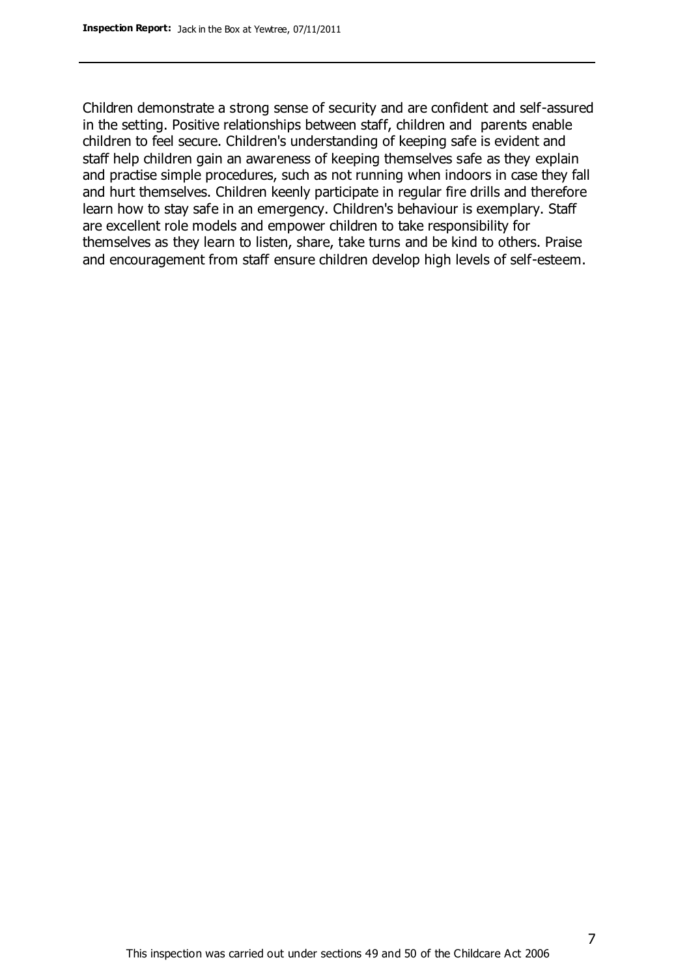Children demonstrate a strong sense of security and are confident and self-assured in the setting. Positive relationships between staff, children and parents enable children to feel secure. Children's understanding of keeping safe is evident and staff help children gain an awareness of keeping themselves safe as they explain and practise simple procedures, such as not running when indoors in case they fall and hurt themselves. Children keenly participate in regular fire drills and therefore learn how to stay safe in an emergency. Children's behaviour is exemplary. Staff are excellent role models and empower children to take responsibility for themselves as they learn to listen, share, take turns and be kind to others. Praise and encouragement from staff ensure children develop high levels of self-esteem.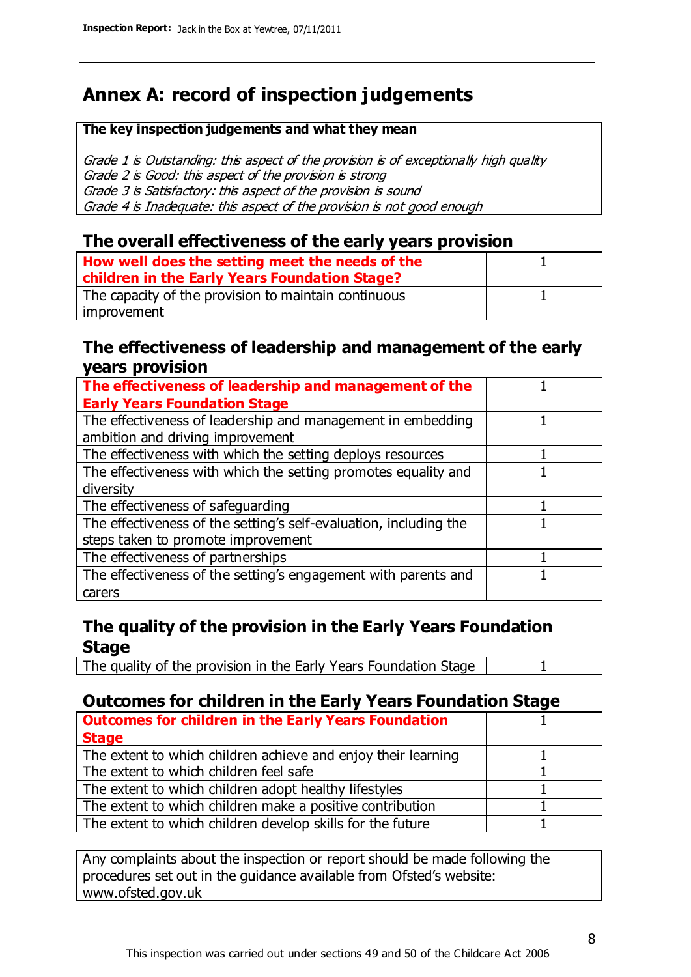# **Annex A: record of inspection judgements**

#### **The key inspection judgements and what they mean**

Grade 1 is Outstanding: this aspect of the provision is of exceptionally high quality Grade 2 is Good: this aspect of the provision is strong Grade 3 is Satisfactory: this aspect of the provision is sound Grade 4 is Inadequate: this aspect of the provision is not good enough

#### **The overall effectiveness of the early years provision**

| How well does the setting meet the needs of the      |  |
|------------------------------------------------------|--|
| children in the Early Years Foundation Stage?        |  |
| The capacity of the provision to maintain continuous |  |
| improvement                                          |  |

#### **The effectiveness of leadership and management of the early years provision**

| The effectiveness of leadership and management of the             |  |
|-------------------------------------------------------------------|--|
| <b>Early Years Foundation Stage</b>                               |  |
| The effectiveness of leadership and management in embedding       |  |
| ambition and driving improvement                                  |  |
| The effectiveness with which the setting deploys resources        |  |
| The effectiveness with which the setting promotes equality and    |  |
| diversity                                                         |  |
| The effectiveness of safeguarding                                 |  |
| The effectiveness of the setting's self-evaluation, including the |  |
| steps taken to promote improvement                                |  |
| The effectiveness of partnerships                                 |  |
| The effectiveness of the setting's engagement with parents and    |  |
| carers                                                            |  |

#### **The quality of the provision in the Early Years Foundation Stage**

The quality of the provision in the Early Years Foundation Stage | 1

### **Outcomes for children in the Early Years Foundation Stage**

| <b>Outcomes for children in the Early Years Foundation</b>    |  |
|---------------------------------------------------------------|--|
| <b>Stage</b>                                                  |  |
| The extent to which children achieve and enjoy their learning |  |
| The extent to which children feel safe                        |  |
| The extent to which children adopt healthy lifestyles         |  |
| The extent to which children make a positive contribution     |  |
| The extent to which children develop skills for the future    |  |
|                                                               |  |

Any complaints about the inspection or report should be made following the procedures set out in the guidance available from Ofsted's website: www.ofsted.gov.uk